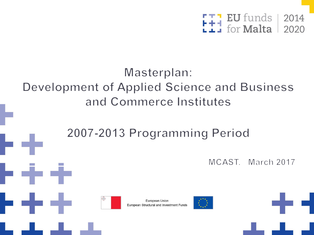

## Masterplan: Development of Applied Science and Business and Commerce Institutes

# 2007-2013 Programming Period

MCAST. March 2017





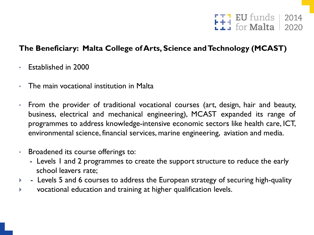

## **The Beneficiary: Malta College of Arts, Science and Technology (MCAST)**

- Established in 2000
- The main vocational institution in Malta
- From the provider of traditional vocational courses (art, design, hair and beauty, business, electrical and mechanical engineering), MCAST expanded its range of programmes to address knowledge-intensive economic sectors like health care, ICT, environmental science, financial services, marine engineering, aviation and media.
- Broadened its course offerings to:
	- Levels I and 2 programmes to create the support structure to reduce the early school leavers rate;
- Levels 5 and 6 courses to address the European strategy of securing high-quality
- vocational education and training at higher qualification levels.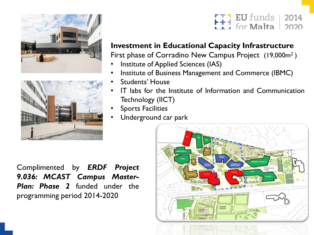



#### **EU** funds | 2014 for Malta  $2020$

## **Investment in Educational Capacity Infrastructure**

First phase of Corradino New Campus Project (19,000m<sup>2</sup>)

- Institute of Applied Sciences (IAS)
- Institute of Business Management and Commerce (IBMC)
- Students' House
- IT labs for the Institute of Information and Communication Technology (IICT)
- Sports Facilities
- Underground car park

Complimented by *ERDF Project 9.036: MCAST Campus Master-Plan: Phase 2* funded under the programming period 2014-2020

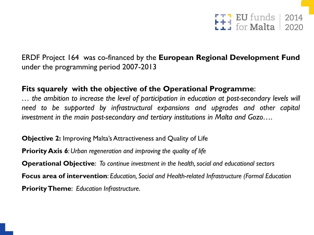

ERDF Project 164 was co-financed by the **European Regional Development Fund** under the programming period 2007-2013

## **Fits squarely with the objective of the Operational Programme**:

*… the ambition to increase the level of participation in education at post-secondary levels will need to be supported by infrastructural expansions and upgrades and other capital investment in the main post-secondary and tertiary institutions in Malta and Gozo….*

**Objective 2:** Improving Malta's Attractiveness and Quality of Life **Priority Axis** *6: Urban regeneration and improving the quality of life* **Operational Objective**: *To continue investment in the health, social and educational sectors* **Focus area of intervention**: *Education, Social and Health-related Infrastructure (Formal Education* **PriorityTheme**: *Education Infrastructure.*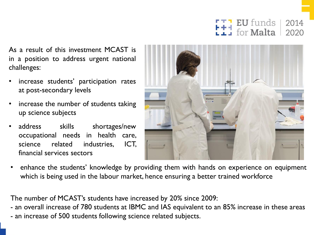**EU** funds 2014 for **Malta** 2020

As a result of this investment MCAST is in a position to address urgent national challenges:

- increase students' participation rates at post-secondary levels
- increase the number of students taking up science subjects
- address skills shortages/new occupational needs in health care, science related industries, ICT, financial services sectors



• enhance the students' knowledge by providing them with hands on experience on equipment which is being used in the labour market, hence ensuring a better trained workforce

The number of MCAST's students have increased by 20% since 2009:

- an overall increase of 780 students at IBMC and IAS equivalent to an 85% increase in these areas

- an increase of 500 students following science related subjects.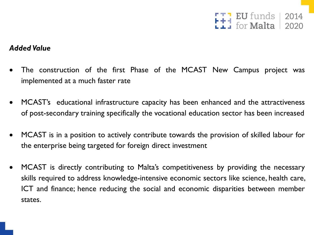$I$  EU funds  $|$ 2014  $for$  Malta  $2020$ 

## *Added Value*

- The construction of the first Phase of the MCAST New Campus project was implemented at a much faster rate
- MCAST's educational infrastructure capacity has been enhanced and the attractiveness of post-secondary training specifically the vocational education sector has been increased
- MCAST is in a position to actively contribute towards the provision of skilled labour for the enterprise being targeted for foreign direct investment
- MCAST is directly contributing to Malta's competitiveness by providing the necessary skills required to address knowledge-intensive economic sectors like science, health care, ICT and finance; hence reducing the social and economic disparities between member states.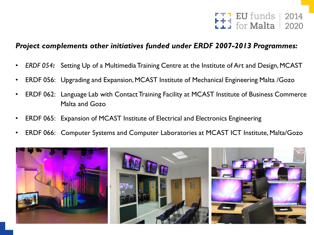

### *Project complements other initiatives funded under ERDF 2007-2013 Programmes:*

- **ERDF 054:** Setting Up of a Multimedia Training Centre at the Institute of Art and Design, MCAST
- ERDF 056: Upgrading and Expansion, MCAST Institute of Mechanical Engineering Malta /Gozo
- ERDF 062: Language Lab with Contact Training Facility at MCAST Institute of Business Commerce Malta and Gozo
- ERDF 065: Expansion of MCAST Institute of Electrical and Electronics Engineering
- ERDF 066: Computer Systems and Computer Laboratories at MCAST ICT Institute, Malta/Gozo

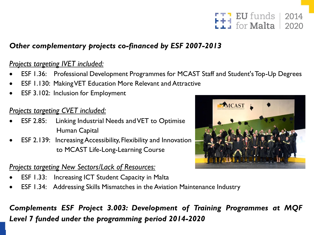#### EU funds | 2014 for Malta  $2020$

## *Other complementary projects co-financed by ESF 2007-2013*

## *Projects targeting IVET included:*

- ESF 1.36: Professional Development Programmes for MCAST Staff and Student's Top-Up Degrees
- ESF 1.130: Making VET Education More Relevant and Attractive
- **ESF 3.102: Inclusion for Employment**

## *Projects targeting CVET included:*

- ESF 2.85: Linking Industrial Needs and VET to Optimise Human Capital
- ESF 2.139: Increasing Accessibility, Flexibility and Innovation to MCAST Life-Long-Learning Course

## *Projects targeting New Sectors/Lack of Resources:*

- ESF 1.33: Increasing ICT Student Capacity in Malta
- ESF 1.34: Addressing Skills Mismatches in the Aviation Maintenance Industry



*Complements ESF Project 3.003: Development of Training Programmes at MQF Level 7 funded under the programming period 2014-2020*